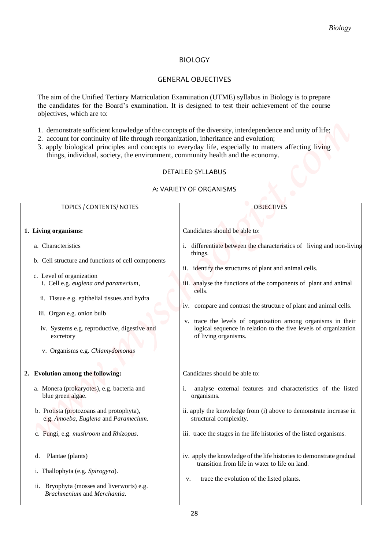### BIOLOGY

### GENERAL OBJECTIVES

- 1. demonstrate sufficient knowledge of the concepts of the diversity, interdependence and unity of life;
- 2. account for continuity of life through reorganization, inheritance and evolution;
- 3. apply biological principles and concepts to everyday life, especially to matters affecting living things, individual, society, the environment, community health and the economy.

#### DETAILED SYLLABUS

#### A: VARIETY OF ORGANISMS

|                                                                                                                                                                                              | <b>Biology</b>                                                                                                                                                                                                                  |
|----------------------------------------------------------------------------------------------------------------------------------------------------------------------------------------------|---------------------------------------------------------------------------------------------------------------------------------------------------------------------------------------------------------------------------------|
|                                                                                                                                                                                              | <b>BIOLOGY</b>                                                                                                                                                                                                                  |
|                                                                                                                                                                                              | <b>GENERAL OBJECTIVES</b>                                                                                                                                                                                                       |
| objectives, which are to:                                                                                                                                                                    | The aim of the Unified Tertiary Matriculation Examination (UTME) syllabus in Biology is to prepare<br>the candidates for the Board's examination. It is designed to test their achievement of the course                        |
| 2. account for continuity of life through reorganization, inheritance and evolution;<br>things, individual, society, the environment, community health and the economy.                      | 1. demonstrate sufficient knowledge of the concepts of the diversity, interdependence and unity of life;<br>3. apply biological principles and concepts to everyday life, especially to matters affecting living                |
|                                                                                                                                                                                              | <b>DETAILED SYLLABUS</b><br>A: VARIETY OF ORGANISMS                                                                                                                                                                             |
| TOPICS / CONTENTS/ NOTES                                                                                                                                                                     | <b>OBJECTIVES</b>                                                                                                                                                                                                               |
| 1. Living organisms:                                                                                                                                                                         | Candidates should be able to:                                                                                                                                                                                                   |
| a. Characteristics<br>b. Cell structure and functions of cell components<br>c. Level of organization<br>i. Cell e.g. euglena and paramecium,<br>ii. Tissue e.g. epithelial tissues and hydra | i. differentiate between the characteristics of living and non-living<br>things.<br>ii. identify the structures of plant and animal cells.<br>iii. analyse the functions of the components of plant and animal<br>cells.        |
| iii. Organ e.g. onion bulb<br>iv. Systems e.g. reproductive, digestive and<br>excretory<br>v. Organisms e.g. Chlamydomonas                                                                   | iv. compare and contrast the structure of plant and animal cells.<br>trace the levels of organization among organisms in their<br>V.<br>logical sequence in relation to the five levels of organization<br>of living organisms. |
| 2. Evolution among the following:                                                                                                                                                            | Candidates should be able to:                                                                                                                                                                                                   |
| a. Monera (prokaryotes), e.g. bacteria and<br>blue green algae.                                                                                                                              | analyse external features and characteristics of the listed<br>i.<br>organisms.                                                                                                                                                 |
| b. Protista (protozoans and protophyta),<br>e.g. Amoeba, Euglena and Paramecium.                                                                                                             | ii. apply the knowledge from (i) above to demonstrate increase in<br>structural complexity.                                                                                                                                     |
| c. Fungi, e.g. mushroom and Rhizopus.                                                                                                                                                        | iii. trace the stages in the life histories of the listed organisms.                                                                                                                                                            |
| Plantae (plants)<br>d.<br>i. Thallophyta (e.g. Spirogyra).<br>ii. Bryophyta (mosses and liverworts) e.g.<br>Brachmenium and Merchantia.                                                      | iv. apply the knowledge of the life histories to demonstrate gradual<br>transition from life in water to life on land.<br>trace the evolution of the listed plants.<br>v.                                                       |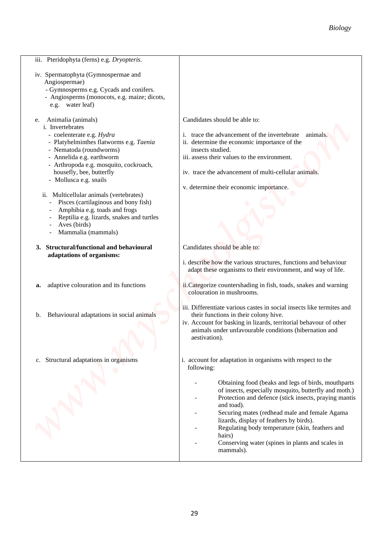|                                                                                                                                                                                                                                                                                                                                                                                                                                                         | <b>Biology</b>                                                                                                                                                                                                                                                                                                                                                                                                |
|---------------------------------------------------------------------------------------------------------------------------------------------------------------------------------------------------------------------------------------------------------------------------------------------------------------------------------------------------------------------------------------------------------------------------------------------------------|---------------------------------------------------------------------------------------------------------------------------------------------------------------------------------------------------------------------------------------------------------------------------------------------------------------------------------------------------------------------------------------------------------------|
| iii. Pteridophyta (ferns) e.g. Dryopteris.                                                                                                                                                                                                                                                                                                                                                                                                              |                                                                                                                                                                                                                                                                                                                                                                                                               |
| iv. Spermatophyta (Gymnospermae and<br>Angiospermae)<br>- Gymnosperms e.g. Cycads and conifers.<br>- Angiosperms (monocots, e.g. maize; dicots,<br>e.g. water leaf)<br>Animalia (animals)<br>e.                                                                                                                                                                                                                                                         | Candidates should be able to:                                                                                                                                                                                                                                                                                                                                                                                 |
| i. Invertebrates<br>- coelenterate e.g. Hydra<br>- Platyhelminthes flatworms e.g. Taenia<br>- Nematoda (roundworms)<br>- Annelida e.g. earthworm<br>- Arthropoda e.g. mosquito, cockroach,<br>housefly, bee, butterfly<br>- Mollusca e.g. snails<br>ii. Multicellular animals (vertebrates)<br>Pisces (cartilaginous and bony fish)<br>Amphibia e.g. toads and frogs<br>Reptilia e.g. lizards, snakes and turtles<br>Aves (birds)<br>Mammalia (mammals) | i. trace the advancement of the invertebrate<br>animals.<br>ii. determine the economic importance of the<br>insects studied.<br>iii. assess their values to the environment.<br>iv. trace the advancement of multi-cellular animals.<br>v. determine their economic importance.                                                                                                                               |
| <b>Structural/functional and behavioural</b><br>3.<br>adaptations of organisms:                                                                                                                                                                                                                                                                                                                                                                         | Candidates should be able to:<br>i. describe how the various structures, functions and behaviour<br>adapt these organisms to their environment, and way of life.                                                                                                                                                                                                                                              |
| adaptive colouration and its functions<br>a.                                                                                                                                                                                                                                                                                                                                                                                                            | ii.Categorize countershading in fish, toads, snakes and warning<br>colouration in mushrooms.                                                                                                                                                                                                                                                                                                                  |
| Behavioural adaptations in social animals<br>b.                                                                                                                                                                                                                                                                                                                                                                                                         | iii. Differentiate various castes in social insects like termites and<br>their functions in their colony hive.<br>iv. Account for basking in lizards, territorial behavour of other<br>animals under unfavourable conditions (hibernation and<br>aestivation).                                                                                                                                                |
| c. Structural adaptations in organisms                                                                                                                                                                                                                                                                                                                                                                                                                  | i. account for adaptation in organisms with respect to the<br>following:                                                                                                                                                                                                                                                                                                                                      |
|                                                                                                                                                                                                                                                                                                                                                                                                                                                         | Obtaining food (beaks and legs of birds, mouthparts<br>of insects, especially mosquito, butterfly and moth.)<br>Protection and defence (stick insects, praying mantis<br>and toad).<br>Securing mates (redhead male and female Agama<br>lizards, display of feathers by birds).<br>Regulating body temperature (skin, feathers and<br>hairs)<br>Conserving water (spines in plants and scales in<br>mammals). |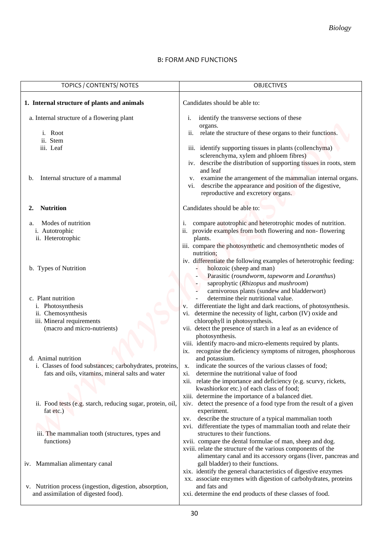### B: FORM AND FUNCTIONS

|                                                                                                                                    | <b>Biology</b>                                                                                                                                                                                                                                                                                                                                                                                                    |
|------------------------------------------------------------------------------------------------------------------------------------|-------------------------------------------------------------------------------------------------------------------------------------------------------------------------------------------------------------------------------------------------------------------------------------------------------------------------------------------------------------------------------------------------------------------|
|                                                                                                                                    | <b>B: FORM AND FUNCTIONS</b>                                                                                                                                                                                                                                                                                                                                                                                      |
| TOPICS / CONTENTS/ NOTES                                                                                                           | <b>OBJECTIVES</b>                                                                                                                                                                                                                                                                                                                                                                                                 |
| 1. Internal structure of plants and animals                                                                                        | Candidates should be able to:                                                                                                                                                                                                                                                                                                                                                                                     |
| a. Internal structure of a flowering plant<br>i. Root<br>ii. Stem<br>iii. Leaf                                                     | identify the transverse sections of these<br>i.<br>organs.<br>relate the structure of these organs to their functions.<br>ii.<br>iii. identify supporting tissues in plants (collenchyma)<br>sclerenchyma, xylem and phloem fibres)<br>iv. describe the distribution of supporting tissues in roots, stem                                                                                                         |
| Internal structure of a mammal<br>b.                                                                                               | and leaf<br>examine the arrangement of the mammalian internal organs.<br>V.<br>describe the appearance and position of the digestive,<br>vi.<br>reproductive and excretory organs.                                                                                                                                                                                                                                |
| <b>Nutrition</b><br>2.                                                                                                             | Candidates should be able to:                                                                                                                                                                                                                                                                                                                                                                                     |
| Modes of nutrition<br>a.<br>i. Autotrophic<br>ii. Heterotrophic                                                                    | compare autotrophic and heterotrophic modes of nutrition.<br>ii. provide examples from both flowering and non-flowering<br>plants.<br>iii. compare the photosynthetic and chemosynthetic modes of<br>nutrition;                                                                                                                                                                                                   |
| b. Types of Nutrition                                                                                                              | iv. differentiate the following examples of heterotrophic feeding:<br>holozoic (sheep and man)<br>Parasitic (roundworm, tapeworm and Loranthus)<br>saprophytic (Rhizopus and mushroom)                                                                                                                                                                                                                            |
| c. Plant nutrition<br>i. Photosynthesis<br>ii. Chemosynthesis<br>iii. Mineral requirements<br>(macro and micro-nutrients)          | carnivorous plants (sundew and bladderwort)<br>determine their nutritional value.<br>differentiate the light and dark reactions, of photosynthesis.<br>V.<br>determine the necessity of light, carbon (IV) oxide and<br>V1.<br>chlorophyll in photosynthesis.<br>vii. detect the presence of starch in a leaf as an evidence of<br>photosynthesis.<br>viii. identify macro-and micro-elements required by plants. |
| d. Animal nutrition<br>i. Classes of food substances; carbohydrates, proteins,<br>fats and oils, vitamins, mineral salts and water | recognise the deficiency symptoms of nitrogen, phosphorous<br>$\overline{1}X$ .<br>and potassium.<br>indicate the sources of the various classes of food;<br>X.<br>determine the nutritional value of food<br>X1.<br>xii. relate the importance and deficiency (e.g. scurvy, rickets,<br>kwashiorkor etc.) of each class of food;<br>xiii. determine the importance of a balanced diet.                           |
| ii. Food tests (e.g. starch, reducing sugar, protein, oil,<br>fat etc.)                                                            | xiv. detect the presence of a food type from the result of a given<br>experiment.<br>describe the structure of a typical mammalian tooth<br>XV.                                                                                                                                                                                                                                                                   |
| iii. The mammalian tooth (structures, types and<br>functions)                                                                      | xvi. differentiate the types of mammalian tooth and relate their<br>structures to their functions.<br>xvii. compare the dental formulae of man, sheep and dog.<br>xviii. relate the structure of the various components of the<br>alimentary canal and its accessory organs (liver, pancreas and                                                                                                                  |
| iv. Mammalian alimentary canal                                                                                                     | gall bladder) to their functions.<br>xix. identify the general characteristics of digestive enzymes<br>xx. associate enzymes with digestion of carbohydrates, proteins                                                                                                                                                                                                                                            |
| v. Nutrition process (ingestion, digestion, absorption,<br>and assimilation of digested food).                                     | and fats and<br>xxi. determine the end products of these classes of food.                                                                                                                                                                                                                                                                                                                                         |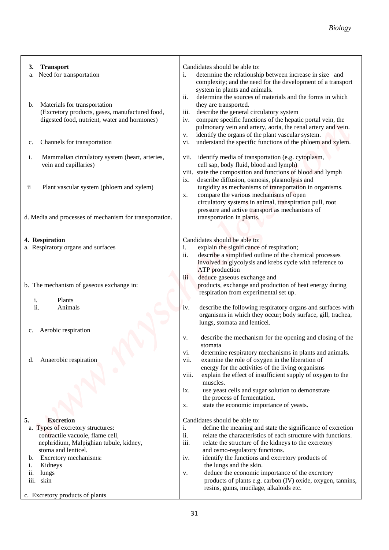| Candidates should be able to:<br><b>Transport</b><br>Need for transportation<br>determine the relationship between increase in size and<br>i.<br>system in plants and animals.<br>ii.<br>determine the sources of materials and the forms in which<br>they are transported.<br>Materials for transportation<br>(Excretory products, gases, manufactured food,<br>describe the general circulatory system<br>iii.<br>digested food, nutrient, water and hormones)<br>compare specific functions of the hepatic portal vein, the<br>iv.<br>pulmonary vein and artery, aorta, the renal artery and vein.<br>identify the organs of the plant vascular system.<br>V.<br>Channels for transportation<br>understand the specific functions of the phloem and xylem.<br>V1.<br>identify media of transportation (e.g. cytoplasm,<br>Mammalian circulatory system (heart, arteries,<br>vii.<br>cell sap, body fluid, blood and lymph)<br>vein and capillaries)<br>viii. state the composition and functions of blood and lymph<br>describe diffusion, osmosis, plasmolysis and<br>$\mathbf{1} \mathbf{X}$ .<br>turgidity as mechanisms of transportation in organisms.<br>Plant vascular system (phloem and xylem)<br>compare the various mechanisms of open<br>X.<br>circulatory systems in animal, transpiration pull, root<br>pressure and active transport as mechanisms of<br>transportation in plants.<br>Candidates should be able to:<br>explain the significance of respiration;<br>i.<br>ii.<br>describe a simplified outline of the chemical processes<br>involved in glycolysis and krebs cycle with reference to<br><b>ATP</b> production<br>iii<br>deduce gaseous exchange and<br>products, exchange and production of heat energy during<br>respiration from experimental set up.<br>i.<br>Plants<br>Animals<br>iv.<br>organisms in which they occur; body surface, gill, trachea,<br>lungs, stomata and lenticel.<br>Aerobic respiration<br>V.<br>stomata<br>determine respiratory mechanisms in plants and animals.<br>vi.<br>Anaerobic respiration<br>vii.<br>examine the role of oxygen in the liberation of<br>energy for the activities of the living organisms<br>explain the effect of insufficient supply of oxygen to the<br>viii.<br>muscles.<br>use yeast cells and sugar solution to demonstrate<br>ix.<br>the process of fermentation.<br>state the economic importance of yeasts.<br>X.<br><b>Excretion</b><br>Candidates should be able to:<br>i.<br>ii.<br>contractile vacuole, flame cell,<br>relate the characteristics of each structure with functions.<br>iii.<br>nephridium, Malpighian tubule, kidney,<br>relate the structure of the kidneys to the excretory |                                                          | <b>Biology</b>                                                                               |
|-----------------------------------------------------------------------------------------------------------------------------------------------------------------------------------------------------------------------------------------------------------------------------------------------------------------------------------------------------------------------------------------------------------------------------------------------------------------------------------------------------------------------------------------------------------------------------------------------------------------------------------------------------------------------------------------------------------------------------------------------------------------------------------------------------------------------------------------------------------------------------------------------------------------------------------------------------------------------------------------------------------------------------------------------------------------------------------------------------------------------------------------------------------------------------------------------------------------------------------------------------------------------------------------------------------------------------------------------------------------------------------------------------------------------------------------------------------------------------------------------------------------------------------------------------------------------------------------------------------------------------------------------------------------------------------------------------------------------------------------------------------------------------------------------------------------------------------------------------------------------------------------------------------------------------------------------------------------------------------------------------------------------------------------------------------------------------------------------------------------------------------------------------------------------------------------------------------------------------------------------------------------------------------------------------------------------------------------------------------------------------------------------------------------------------------------------------------------------------------------------------------------------------------------------------------------------------------------------------------------------------------------------------------------------------------------------|----------------------------------------------------------|----------------------------------------------------------------------------------------------|
|                                                                                                                                                                                                                                                                                                                                                                                                                                                                                                                                                                                                                                                                                                                                                                                                                                                                                                                                                                                                                                                                                                                                                                                                                                                                                                                                                                                                                                                                                                                                                                                                                                                                                                                                                                                                                                                                                                                                                                                                                                                                                                                                                                                                                                                                                                                                                                                                                                                                                                                                                                                                                                                                                               | 3.<br>a.                                                 | complexity; and the need for the development of a transport                                  |
|                                                                                                                                                                                                                                                                                                                                                                                                                                                                                                                                                                                                                                                                                                                                                                                                                                                                                                                                                                                                                                                                                                                                                                                                                                                                                                                                                                                                                                                                                                                                                                                                                                                                                                                                                                                                                                                                                                                                                                                                                                                                                                                                                                                                                                                                                                                                                                                                                                                                                                                                                                                                                                                                                               | b.                                                       |                                                                                              |
|                                                                                                                                                                                                                                                                                                                                                                                                                                                                                                                                                                                                                                                                                                                                                                                                                                                                                                                                                                                                                                                                                                                                                                                                                                                                                                                                                                                                                                                                                                                                                                                                                                                                                                                                                                                                                                                                                                                                                                                                                                                                                                                                                                                                                                                                                                                                                                                                                                                                                                                                                                                                                                                                                               | c.                                                       |                                                                                              |
|                                                                                                                                                                                                                                                                                                                                                                                                                                                                                                                                                                                                                                                                                                                                                                                                                                                                                                                                                                                                                                                                                                                                                                                                                                                                                                                                                                                                                                                                                                                                                                                                                                                                                                                                                                                                                                                                                                                                                                                                                                                                                                                                                                                                                                                                                                                                                                                                                                                                                                                                                                                                                                                                                               | i.                                                       |                                                                                              |
|                                                                                                                                                                                                                                                                                                                                                                                                                                                                                                                                                                                                                                                                                                                                                                                                                                                                                                                                                                                                                                                                                                                                                                                                                                                                                                                                                                                                                                                                                                                                                                                                                                                                                                                                                                                                                                                                                                                                                                                                                                                                                                                                                                                                                                                                                                                                                                                                                                                                                                                                                                                                                                                                                               | ii                                                       |                                                                                              |
|                                                                                                                                                                                                                                                                                                                                                                                                                                                                                                                                                                                                                                                                                                                                                                                                                                                                                                                                                                                                                                                                                                                                                                                                                                                                                                                                                                                                                                                                                                                                                                                                                                                                                                                                                                                                                                                                                                                                                                                                                                                                                                                                                                                                                                                                                                                                                                                                                                                                                                                                                                                                                                                                                               | d. Media and processes of mechanism for transportation.  |                                                                                              |
|                                                                                                                                                                                                                                                                                                                                                                                                                                                                                                                                                                                                                                                                                                                                                                                                                                                                                                                                                                                                                                                                                                                                                                                                                                                                                                                                                                                                                                                                                                                                                                                                                                                                                                                                                                                                                                                                                                                                                                                                                                                                                                                                                                                                                                                                                                                                                                                                                                                                                                                                                                                                                                                                                               | 4. Respiration<br>a. Respiratory organs and surfaces     |                                                                                              |
|                                                                                                                                                                                                                                                                                                                                                                                                                                                                                                                                                                                                                                                                                                                                                                                                                                                                                                                                                                                                                                                                                                                                                                                                                                                                                                                                                                                                                                                                                                                                                                                                                                                                                                                                                                                                                                                                                                                                                                                                                                                                                                                                                                                                                                                                                                                                                                                                                                                                                                                                                                                                                                                                                               | b. The mechanism of gaseous exchange in:                 |                                                                                              |
|                                                                                                                                                                                                                                                                                                                                                                                                                                                                                                                                                                                                                                                                                                                                                                                                                                                                                                                                                                                                                                                                                                                                                                                                                                                                                                                                                                                                                                                                                                                                                                                                                                                                                                                                                                                                                                                                                                                                                                                                                                                                                                                                                                                                                                                                                                                                                                                                                                                                                                                                                                                                                                                                                               | ii.                                                      | describe the following respiratory organs and surfaces with                                  |
|                                                                                                                                                                                                                                                                                                                                                                                                                                                                                                                                                                                                                                                                                                                                                                                                                                                                                                                                                                                                                                                                                                                                                                                                                                                                                                                                                                                                                                                                                                                                                                                                                                                                                                                                                                                                                                                                                                                                                                                                                                                                                                                                                                                                                                                                                                                                                                                                                                                                                                                                                                                                                                                                                               | c.                                                       | describe the mechanism for the opening and closing of the                                    |
|                                                                                                                                                                                                                                                                                                                                                                                                                                                                                                                                                                                                                                                                                                                                                                                                                                                                                                                                                                                                                                                                                                                                                                                                                                                                                                                                                                                                                                                                                                                                                                                                                                                                                                                                                                                                                                                                                                                                                                                                                                                                                                                                                                                                                                                                                                                                                                                                                                                                                                                                                                                                                                                                                               | d.                                                       |                                                                                              |
|                                                                                                                                                                                                                                                                                                                                                                                                                                                                                                                                                                                                                                                                                                                                                                                                                                                                                                                                                                                                                                                                                                                                                                                                                                                                                                                                                                                                                                                                                                                                                                                                                                                                                                                                                                                                                                                                                                                                                                                                                                                                                                                                                                                                                                                                                                                                                                                                                                                                                                                                                                                                                                                                                               |                                                          |                                                                                              |
|                                                                                                                                                                                                                                                                                                                                                                                                                                                                                                                                                                                                                                                                                                                                                                                                                                                                                                                                                                                                                                                                                                                                                                                                                                                                                                                                                                                                                                                                                                                                                                                                                                                                                                                                                                                                                                                                                                                                                                                                                                                                                                                                                                                                                                                                                                                                                                                                                                                                                                                                                                                                                                                                                               | 5.                                                       |                                                                                              |
|                                                                                                                                                                                                                                                                                                                                                                                                                                                                                                                                                                                                                                                                                                                                                                                                                                                                                                                                                                                                                                                                                                                                                                                                                                                                                                                                                                                                                                                                                                                                                                                                                                                                                                                                                                                                                                                                                                                                                                                                                                                                                                                                                                                                                                                                                                                                                                                                                                                                                                                                                                                                                                                                                               | a. Types of excretory structures:<br>stoma and lenticel. | define the meaning and state the significance of excretion<br>and osmo-regulatory functions. |
| identify the functions and excretory products of<br>Excretory mechanisms:<br>iv.<br>the lungs and the skin.<br>Kidneys<br>deduce the economic importance of the excretory<br>lungs<br>V.<br>skin<br>resins, gums, mucilage, alkaloids etc.                                                                                                                                                                                                                                                                                                                                                                                                                                                                                                                                                                                                                                                                                                                                                                                                                                                                                                                                                                                                                                                                                                                                                                                                                                                                                                                                                                                                                                                                                                                                                                                                                                                                                                                                                                                                                                                                                                                                                                                                                                                                                                                                                                                                                                                                                                                                                                                                                                                    | b.<br>1.<br>ii.<br>iii.                                  | products of plants e.g. carbon (IV) oxide, oxygen, tannins,                                  |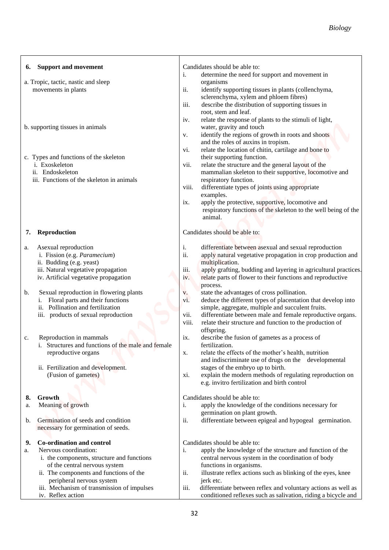| Candidates should be able to:<br><b>Support and movement</b><br>i.<br>determine the need for support and movement in<br>a. Tropic, tactic, nastic and sleep<br>organisms<br>movements in plants<br>ii.<br>identify supporting tissues in plants (collenchyma,<br>sclerenchyma, xylem and phloem fibres)<br>iii.<br>describe the distribution of supporting tissues in<br>root, stem and leaf.<br>relate the response of plants to the stimuli of light,<br>iv.<br>water, gravity and touch<br>b. supporting tissues in animals<br>identify the regions of growth in roots and shoots<br>V.<br>and the roles of auxins in tropism.<br>relate the location of chitin, cartilage and bone to<br>vi.<br>their supporting function.<br>c. Types and functions of the skeleton<br>i. Exoskeleton<br>relate the structure and the general layout of the<br>vii.<br>mammalian skeleton to their supportive, locomotive and<br>ii. Endoskeleton<br>iii. Functions of the skeleton in animals<br>respiratory function.<br>differentiate types of joints using appropriate<br>viii.<br>examples.<br>apply the protective, supportive, locomotive and<br>ix.<br>respiratory functions of the skeleton to the well being of the<br>animal.<br>Reproduction<br>Candidates should be able to:<br>differentiate between asexual and sexual reproduction<br>Asexual reproduction<br>i.<br>ii.<br>i. Fission (e.g. Paramecium)<br>apply natural vegetative propagation in crop production and<br>ii. Budding (e.g. yeast)<br>multiplication.<br>iii. Natural vegetative propagation<br>apply grafting, budding and layering in agricultural practices.<br>iii.<br>iv. Artificial vegetative propagation<br>relate parts of flower to their functions and reproductive<br>iv.<br>process.<br>Sexual reproduction in flowering plants<br>state the advantages of cross pollination.<br>v.<br>vi.<br>Floral parts and their functions<br>deduce the different types of placentation that develop into | <b>Biology</b> |
|----------------------------------------------------------------------------------------------------------------------------------------------------------------------------------------------------------------------------------------------------------------------------------------------------------------------------------------------------------------------------------------------------------------------------------------------------------------------------------------------------------------------------------------------------------------------------------------------------------------------------------------------------------------------------------------------------------------------------------------------------------------------------------------------------------------------------------------------------------------------------------------------------------------------------------------------------------------------------------------------------------------------------------------------------------------------------------------------------------------------------------------------------------------------------------------------------------------------------------------------------------------------------------------------------------------------------------------------------------------------------------------------------------------------------------------------------------------------------------------------------------------------------------------------------------------------------------------------------------------------------------------------------------------------------------------------------------------------------------------------------------------------------------------------------------------------------------------------------------------------------------------------------------------------------------------------------------------------------------|----------------|
|                                                                                                                                                                                                                                                                                                                                                                                                                                                                                                                                                                                                                                                                                                                                                                                                                                                                                                                                                                                                                                                                                                                                                                                                                                                                                                                                                                                                                                                                                                                                                                                                                                                                                                                                                                                                                                                                                                                                                                                  |                |
|                                                                                                                                                                                                                                                                                                                                                                                                                                                                                                                                                                                                                                                                                                                                                                                                                                                                                                                                                                                                                                                                                                                                                                                                                                                                                                                                                                                                                                                                                                                                                                                                                                                                                                                                                                                                                                                                                                                                                                                  |                |
|                                                                                                                                                                                                                                                                                                                                                                                                                                                                                                                                                                                                                                                                                                                                                                                                                                                                                                                                                                                                                                                                                                                                                                                                                                                                                                                                                                                                                                                                                                                                                                                                                                                                                                                                                                                                                                                                                                                                                                                  |                |
|                                                                                                                                                                                                                                                                                                                                                                                                                                                                                                                                                                                                                                                                                                                                                                                                                                                                                                                                                                                                                                                                                                                                                                                                                                                                                                                                                                                                                                                                                                                                                                                                                                                                                                                                                                                                                                                                                                                                                                                  |                |
|                                                                                                                                                                                                                                                                                                                                                                                                                                                                                                                                                                                                                                                                                                                                                                                                                                                                                                                                                                                                                                                                                                                                                                                                                                                                                                                                                                                                                                                                                                                                                                                                                                                                                                                                                                                                                                                                                                                                                                                  |                |
|                                                                                                                                                                                                                                                                                                                                                                                                                                                                                                                                                                                                                                                                                                                                                                                                                                                                                                                                                                                                                                                                                                                                                                                                                                                                                                                                                                                                                                                                                                                                                                                                                                                                                                                                                                                                                                                                                                                                                                                  |                |
|                                                                                                                                                                                                                                                                                                                                                                                                                                                                                                                                                                                                                                                                                                                                                                                                                                                                                                                                                                                                                                                                                                                                                                                                                                                                                                                                                                                                                                                                                                                                                                                                                                                                                                                                                                                                                                                                                                                                                                                  |                |
|                                                                                                                                                                                                                                                                                                                                                                                                                                                                                                                                                                                                                                                                                                                                                                                                                                                                                                                                                                                                                                                                                                                                                                                                                                                                                                                                                                                                                                                                                                                                                                                                                                                                                                                                                                                                                                                                                                                                                                                  |                |
|                                                                                                                                                                                                                                                                                                                                                                                                                                                                                                                                                                                                                                                                                                                                                                                                                                                                                                                                                                                                                                                                                                                                                                                                                                                                                                                                                                                                                                                                                                                                                                                                                                                                                                                                                                                                                                                                                                                                                                                  |                |
|                                                                                                                                                                                                                                                                                                                                                                                                                                                                                                                                                                                                                                                                                                                                                                                                                                                                                                                                                                                                                                                                                                                                                                                                                                                                                                                                                                                                                                                                                                                                                                                                                                                                                                                                                                                                                                                                                                                                                                                  |                |
|                                                                                                                                                                                                                                                                                                                                                                                                                                                                                                                                                                                                                                                                                                                                                                                                                                                                                                                                                                                                                                                                                                                                                                                                                                                                                                                                                                                                                                                                                                                                                                                                                                                                                                                                                                                                                                                                                                                                                                                  |                |
|                                                                                                                                                                                                                                                                                                                                                                                                                                                                                                                                                                                                                                                                                                                                                                                                                                                                                                                                                                                                                                                                                                                                                                                                                                                                                                                                                                                                                                                                                                                                                                                                                                                                                                                                                                                                                                                                                                                                                                                  |                |
|                                                                                                                                                                                                                                                                                                                                                                                                                                                                                                                                                                                                                                                                                                                                                                                                                                                                                                                                                                                                                                                                                                                                                                                                                                                                                                                                                                                                                                                                                                                                                                                                                                                                                                                                                                                                                                                                                                                                                                                  |                |
|                                                                                                                                                                                                                                                                                                                                                                                                                                                                                                                                                                                                                                                                                                                                                                                                                                                                                                                                                                                                                                                                                                                                                                                                                                                                                                                                                                                                                                                                                                                                                                                                                                                                                                                                                                                                                                                                                                                                                                                  |                |
|                                                                                                                                                                                                                                                                                                                                                                                                                                                                                                                                                                                                                                                                                                                                                                                                                                                                                                                                                                                                                                                                                                                                                                                                                                                                                                                                                                                                                                                                                                                                                                                                                                                                                                                                                                                                                                                                                                                                                                                  |                |
|                                                                                                                                                                                                                                                                                                                                                                                                                                                                                                                                                                                                                                                                                                                                                                                                                                                                                                                                                                                                                                                                                                                                                                                                                                                                                                                                                                                                                                                                                                                                                                                                                                                                                                                                                                                                                                                                                                                                                                                  |                |
|                                                                                                                                                                                                                                                                                                                                                                                                                                                                                                                                                                                                                                                                                                                                                                                                                                                                                                                                                                                                                                                                                                                                                                                                                                                                                                                                                                                                                                                                                                                                                                                                                                                                                                                                                                                                                                                                                                                                                                                  |                |
|                                                                                                                                                                                                                                                                                                                                                                                                                                                                                                                                                                                                                                                                                                                                                                                                                                                                                                                                                                                                                                                                                                                                                                                                                                                                                                                                                                                                                                                                                                                                                                                                                                                                                                                                                                                                                                                                                                                                                                                  |                |
|                                                                                                                                                                                                                                                                                                                                                                                                                                                                                                                                                                                                                                                                                                                                                                                                                                                                                                                                                                                                                                                                                                                                                                                                                                                                                                                                                                                                                                                                                                                                                                                                                                                                                                                                                                                                                                                                                                                                                                                  |                |
|                                                                                                                                                                                                                                                                                                                                                                                                                                                                                                                                                                                                                                                                                                                                                                                                                                                                                                                                                                                                                                                                                                                                                                                                                                                                                                                                                                                                                                                                                                                                                                                                                                                                                                                                                                                                                                                                                                                                                                                  |                |
|                                                                                                                                                                                                                                                                                                                                                                                                                                                                                                                                                                                                                                                                                                                                                                                                                                                                                                                                                                                                                                                                                                                                                                                                                                                                                                                                                                                                                                                                                                                                                                                                                                                                                                                                                                                                                                                                                                                                                                                  |                |
|                                                                                                                                                                                                                                                                                                                                                                                                                                                                                                                                                                                                                                                                                                                                                                                                                                                                                                                                                                                                                                                                                                                                                                                                                                                                                                                                                                                                                                                                                                                                                                                                                                                                                                                                                                                                                                                                                                                                                                                  |                |
|                                                                                                                                                                                                                                                                                                                                                                                                                                                                                                                                                                                                                                                                                                                                                                                                                                                                                                                                                                                                                                                                                                                                                                                                                                                                                                                                                                                                                                                                                                                                                                                                                                                                                                                                                                                                                                                                                                                                                                                  |                |
|                                                                                                                                                                                                                                                                                                                                                                                                                                                                                                                                                                                                                                                                                                                                                                                                                                                                                                                                                                                                                                                                                                                                                                                                                                                                                                                                                                                                                                                                                                                                                                                                                                                                                                                                                                                                                                                                                                                                                                                  |                |
|                                                                                                                                                                                                                                                                                                                                                                                                                                                                                                                                                                                                                                                                                                                                                                                                                                                                                                                                                                                                                                                                                                                                                                                                                                                                                                                                                                                                                                                                                                                                                                                                                                                                                                                                                                                                                                                                                                                                                                                  |                |
| Pollination and fertilization<br>simple, aggregate, multiple and succulent fruits.<br>ii.<br>iii. products of sexual reproduction<br>differentiate between male and female reproductive organs.<br>vii.                                                                                                                                                                                                                                                                                                                                                                                                                                                                                                                                                                                                                                                                                                                                                                                                                                                                                                                                                                                                                                                                                                                                                                                                                                                                                                                                                                                                                                                                                                                                                                                                                                                                                                                                                                          |                |
| viii.<br>relate their structure and function to the production of                                                                                                                                                                                                                                                                                                                                                                                                                                                                                                                                                                                                                                                                                                                                                                                                                                                                                                                                                                                                                                                                                                                                                                                                                                                                                                                                                                                                                                                                                                                                                                                                                                                                                                                                                                                                                                                                                                                |                |
| offspring.                                                                                                                                                                                                                                                                                                                                                                                                                                                                                                                                                                                                                                                                                                                                                                                                                                                                                                                                                                                                                                                                                                                                                                                                                                                                                                                                                                                                                                                                                                                                                                                                                                                                                                                                                                                                                                                                                                                                                                       |                |
| Reproduction in mammals<br>describe the fusion of gametes as a process of<br>ix.<br>i. Structures and functions of the male and female<br>fertilization.                                                                                                                                                                                                                                                                                                                                                                                                                                                                                                                                                                                                                                                                                                                                                                                                                                                                                                                                                                                                                                                                                                                                                                                                                                                                                                                                                                                                                                                                                                                                                                                                                                                                                                                                                                                                                         |                |
| relate the effects of the mother's health, nutrition<br>reproductive organs<br>Х.                                                                                                                                                                                                                                                                                                                                                                                                                                                                                                                                                                                                                                                                                                                                                                                                                                                                                                                                                                                                                                                                                                                                                                                                                                                                                                                                                                                                                                                                                                                                                                                                                                                                                                                                                                                                                                                                                                |                |
| and indiscriminate use of drugs on the developmental                                                                                                                                                                                                                                                                                                                                                                                                                                                                                                                                                                                                                                                                                                                                                                                                                                                                                                                                                                                                                                                                                                                                                                                                                                                                                                                                                                                                                                                                                                                                                                                                                                                                                                                                                                                                                                                                                                                             |                |
| stages of the embryo up to birth.<br>ii. Fertilization and development.<br>explain the modern methods of regulating reproduction on<br>(Fusion of gametes)                                                                                                                                                                                                                                                                                                                                                                                                                                                                                                                                                                                                                                                                                                                                                                                                                                                                                                                                                                                                                                                                                                                                                                                                                                                                                                                                                                                                                                                                                                                                                                                                                                                                                                                                                                                                                       |                |
| X1.<br>e.g. invitro fertilization and birth control                                                                                                                                                                                                                                                                                                                                                                                                                                                                                                                                                                                                                                                                                                                                                                                                                                                                                                                                                                                                                                                                                                                                                                                                                                                                                                                                                                                                                                                                                                                                                                                                                                                                                                                                                                                                                                                                                                                              |                |
| Growth<br>Candidates should be able to:                                                                                                                                                                                                                                                                                                                                                                                                                                                                                                                                                                                                                                                                                                                                                                                                                                                                                                                                                                                                                                                                                                                                                                                                                                                                                                                                                                                                                                                                                                                                                                                                                                                                                                                                                                                                                                                                                                                                          |                |
| Meaning of growth<br>apply the knowledge of the conditions necessary for<br>i.                                                                                                                                                                                                                                                                                                                                                                                                                                                                                                                                                                                                                                                                                                                                                                                                                                                                                                                                                                                                                                                                                                                                                                                                                                                                                                                                                                                                                                                                                                                                                                                                                                                                                                                                                                                                                                                                                                   |                |
| germination on plant growth.                                                                                                                                                                                                                                                                                                                                                                                                                                                                                                                                                                                                                                                                                                                                                                                                                                                                                                                                                                                                                                                                                                                                                                                                                                                                                                                                                                                                                                                                                                                                                                                                                                                                                                                                                                                                                                                                                                                                                     |                |
| ii.<br>Germination of seeds and condition<br>differentiate between epigeal and hypogeal germination.<br>necessary for germination of seeds.                                                                                                                                                                                                                                                                                                                                                                                                                                                                                                                                                                                                                                                                                                                                                                                                                                                                                                                                                                                                                                                                                                                                                                                                                                                                                                                                                                                                                                                                                                                                                                                                                                                                                                                                                                                                                                      |                |
| Co-ordination and control<br>Candidates should be able to:                                                                                                                                                                                                                                                                                                                                                                                                                                                                                                                                                                                                                                                                                                                                                                                                                                                                                                                                                                                                                                                                                                                                                                                                                                                                                                                                                                                                                                                                                                                                                                                                                                                                                                                                                                                                                                                                                                                       |                |
| Nervous coordination:<br>apply the knowledge of the structure and function of the<br>i.                                                                                                                                                                                                                                                                                                                                                                                                                                                                                                                                                                                                                                                                                                                                                                                                                                                                                                                                                                                                                                                                                                                                                                                                                                                                                                                                                                                                                                                                                                                                                                                                                                                                                                                                                                                                                                                                                          |                |
| i. the components, structure and functions<br>central nervous system in the coordination of body<br>of the central nervous system<br>functions in organisms.                                                                                                                                                                                                                                                                                                                                                                                                                                                                                                                                                                                                                                                                                                                                                                                                                                                                                                                                                                                                                                                                                                                                                                                                                                                                                                                                                                                                                                                                                                                                                                                                                                                                                                                                                                                                                     |                |
| ii. The components and functions of the<br>ii.<br>illustrate reflex actions such as blinking of the eyes, knee                                                                                                                                                                                                                                                                                                                                                                                                                                                                                                                                                                                                                                                                                                                                                                                                                                                                                                                                                                                                                                                                                                                                                                                                                                                                                                                                                                                                                                                                                                                                                                                                                                                                                                                                                                                                                                                                   |                |
| peripheral nervous system<br>jerk etc.                                                                                                                                                                                                                                                                                                                                                                                                                                                                                                                                                                                                                                                                                                                                                                                                                                                                                                                                                                                                                                                                                                                                                                                                                                                                                                                                                                                                                                                                                                                                                                                                                                                                                                                                                                                                                                                                                                                                           |                |
| iii. Mechanism of transmission of impulses<br>iii.<br>differentiate between reflex and voluntary actions as well as<br>iv. Reflex action<br>conditioned reflexes such as salivation, riding a bicycle and                                                                                                                                                                                                                                                                                                                                                                                                                                                                                                                                                                                                                                                                                                                                                                                                                                                                                                                                                                                                                                                                                                                                                                                                                                                                                                                                                                                                                                                                                                                                                                                                                                                                                                                                                                        |                |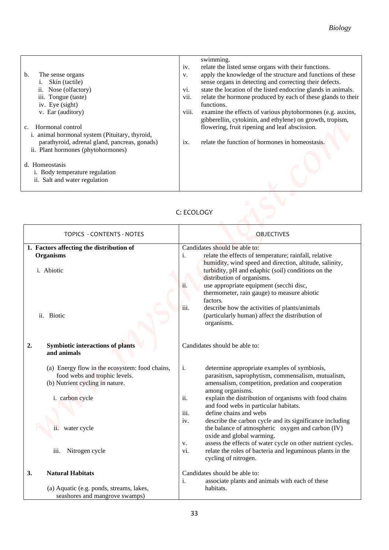| $b$<br>The sense organs<br>Skin (tactile)<br>Nose (olfactory)<br>11.<br>iii. Tongue (taste)<br>iv. Eye (sight)<br>v. Ear (auditory)<br>Hormonal control<br>i. animal hormonal system (Pituitary, thyroid,<br>parathyroid, adrenal gland, pancreas, gonads)<br>ii. Plant hormones (phytohormones) | swimming.<br>relate the listed sense organs with their functions.<br>iv.<br>apply the knowledge of the structure and functions of these<br>V.<br>sense organs in detecting and correcting their defects.<br>state the location of the listed endocrine glands in animals.<br>V1.<br>vii.<br>relate the hormone produced by each of these glands to their<br>functions.<br>viii.<br>examine the effects of various phytohormones (e.g. auxins,<br>gibberellin, cytokinin, and ethylene) on growth, tropism,<br>flowering, fruit ripening and leaf abscission.<br>relate the function of hormones in homeostasis.<br>$\overline{1}X$ . |
|--------------------------------------------------------------------------------------------------------------------------------------------------------------------------------------------------------------------------------------------------------------------------------------------------|--------------------------------------------------------------------------------------------------------------------------------------------------------------------------------------------------------------------------------------------------------------------------------------------------------------------------------------------------------------------------------------------------------------------------------------------------------------------------------------------------------------------------------------------------------------------------------------------------------------------------------------|
| d. Homeostasis<br>i. Body temperature regulation<br>ii. Salt and water regulation                                                                                                                                                                                                                |                                                                                                                                                                                                                                                                                                                                                                                                                                                                                                                                                                                                                                      |

# C: ECOLOGY

|                                                                                                                                                                                                                                                                                                                                                                                                     | <b>Biology</b>                                                                                                                                                                                                                                                                                                                                                                                                                                                                                                                                                                                                                                       |
|-----------------------------------------------------------------------------------------------------------------------------------------------------------------------------------------------------------------------------------------------------------------------------------------------------------------------------------------------------------------------------------------------------|------------------------------------------------------------------------------------------------------------------------------------------------------------------------------------------------------------------------------------------------------------------------------------------------------------------------------------------------------------------------------------------------------------------------------------------------------------------------------------------------------------------------------------------------------------------------------------------------------------------------------------------------------|
| The sense organs<br>b.<br>Skin (tactile)<br>Nose (olfactory)<br>ii.<br>iii. Tongue (taste)<br>iv. Eye (sight)<br>v. Ear (auditory)<br>Hormonal control<br>$C_{\star}$<br>i. animal hormonal system (Pituitary, thyroid,<br>parathyroid, adrenal gland, pancreas, gonads)<br>ii. Plant hormones (phytohormones)<br>d. Homeostasis<br>i. Body temperature regulation<br>ii. Salt and water regulation | swimming.<br>relate the listed sense organs with their functions.<br>iv.<br>apply the knowledge of the structure and functions of these<br>V.<br>sense organs in detecting and correcting their defects.<br>state the location of the listed endocrine glands in animals.<br>vi.<br>vii.<br>relate the hormone produced by each of these glands to their<br>functions.<br>viii.<br>examine the effects of various phytohormones (e.g. auxins,<br>gibberellin, cytokinin, and ethylene) on growth, tropism,<br>flowering, fruit ripening and leaf abscission.<br>relate the function of hormones in homeostasis.<br>ix.                               |
|                                                                                                                                                                                                                                                                                                                                                                                                     | C: ECOLOGY                                                                                                                                                                                                                                                                                                                                                                                                                                                                                                                                                                                                                                           |
| TOPICS - CONTENTS - NOTES                                                                                                                                                                                                                                                                                                                                                                           | <b>OBJECTIVES</b>                                                                                                                                                                                                                                                                                                                                                                                                                                                                                                                                                                                                                                    |
| 1. Factors affecting the distribution of<br><b>Organisms</b><br>i. Abiotic<br>ii. Biotic                                                                                                                                                                                                                                                                                                            | Candidates should be able to:<br>relate the effects of temperature; rainfall, relative<br>i.<br>humidity, wind speed and direction, altitude, salinity,<br>turbidity, pH and edaphic (soil) conditions on the<br>distribution of organisms.<br>use appropriate equipment (secchi disc,<br>ii.<br>thermometer, rain gauge) to measure abiotic<br>factors.<br>describe how the activities of plants/animals<br>iii.<br>(particularly human) affect the distribution of<br>organisms.                                                                                                                                                                   |
| 2.<br><b>Symbiotic interactions of plants</b><br>and animals                                                                                                                                                                                                                                                                                                                                        | Candidates should be able to:                                                                                                                                                                                                                                                                                                                                                                                                                                                                                                                                                                                                                        |
| (a) Energy flow in the ecosystem: food chains,<br>food webs and trophic levels.<br>(b) Nutrient cycling in nature.<br>i. carbon cycle<br>ii. water cycle<br>Nitrogen cycle<br>iii.                                                                                                                                                                                                                  | determine appropriate examples of symbiosis,<br>i.<br>parasitism, saprophytism, commensalism, mutualism,<br>amensalism, competition, predation and cooperation<br>among organisms.<br>ii.<br>explain the distribution of organisms with food chains<br>and food webs in particular habitats.<br>define chains and webs<br>iii.<br>describe the carbon cycle and its significance including<br>iv.<br>the balance of atmospheric oxygen and carbon (IV)<br>oxide and global warming.<br>assess the effects of water cycle on other nutrient cycles.<br>v.<br>relate the roles of bacteria and leguminous plants in the<br>vi.<br>cycling of nitrogen. |
| 3.<br><b>Natural Habitats</b><br>(a) Aquatic (e.g. ponds, streams, lakes,<br>seashores and mangrove swamps)                                                                                                                                                                                                                                                                                         | Candidates should be able to:<br>associate plants and animals with each of these<br>i.<br>habitats.                                                                                                                                                                                                                                                                                                                                                                                                                                                                                                                                                  |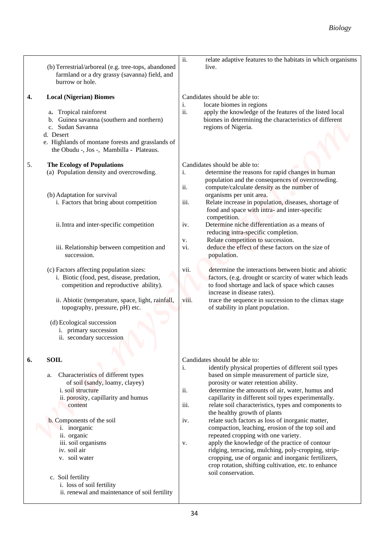|                                                                                                                                                                                                                                         | <b>Biology</b>                                                                                                                                                                                                                                                                                                                                                                                                                                                                                                       |
|-----------------------------------------------------------------------------------------------------------------------------------------------------------------------------------------------------------------------------------------|----------------------------------------------------------------------------------------------------------------------------------------------------------------------------------------------------------------------------------------------------------------------------------------------------------------------------------------------------------------------------------------------------------------------------------------------------------------------------------------------------------------------|
|                                                                                                                                                                                                                                         |                                                                                                                                                                                                                                                                                                                                                                                                                                                                                                                      |
| (b) Terrestrial/arboreal (e.g. tree-tops, abandoned<br>farmland or a dry grassy (savanna) field, and<br>burrow or hole.                                                                                                                 | ii.<br>relate adaptive features to the habitats in which organisms<br>live.                                                                                                                                                                                                                                                                                                                                                                                                                                          |
| <b>Local (Nigerian) Biomes</b><br>4.<br>Tropical rainforest<br>Guinea savanna (southern and northern)<br>c. Sudan Savanna<br>d. Desert<br>e. Highlands of montane forests and grasslands of<br>the Obudu -, Jos -, Mambilla - Plateaus. | Candidates should be able to:<br>locate biomes in regions<br>1.<br>ii.<br>apply the knowledge of the features of the listed local<br>biomes in determining the characteristics of different<br>regions of Nigeria.                                                                                                                                                                                                                                                                                                   |
| 5.<br><b>The Ecology of Populations</b><br>(a) Population density and overcrowding.<br>(b) Adaptation for survival                                                                                                                      | Candidates should be able to:<br>determine the reasons for rapid changes in human<br>i.<br>population and the consequences of overcrowding.<br>ii.<br>compute/calculate density as the number of<br>organisms per unit area.                                                                                                                                                                                                                                                                                         |
| i. Factors that bring about competition<br>ii. Intra and inter-specific competition                                                                                                                                                     | iii.<br>Relate increase in population, diseases, shortage of<br>food and space with intra- and inter-specific<br>competition.<br>Determine niche differentiation as a means of<br>iv.                                                                                                                                                                                                                                                                                                                                |
| iii. Relationship between competition and<br>succession.                                                                                                                                                                                | reducing intra-specific completion.<br>Relate competition to succession.<br>v.<br>deduce the effect of these factors on the size of<br>vi.<br>population.                                                                                                                                                                                                                                                                                                                                                            |
| (c) Factors affecting population sizes:<br>i. Biotic (food, pest, disease, predation,<br>competition and reproductive ability).                                                                                                         | determine the interactions between biotic and abiotic<br>vii.<br>factors, (e.g. drought or scarcity of water which leads<br>to food shortage and lack of space which causes<br>increase in disease rates).                                                                                                                                                                                                                                                                                                           |
| ii. Abiotic (temperature, space, light, rainfall,<br>topography, pressure, pH) etc.                                                                                                                                                     | viii.<br>trace the sequence in succession to the climax stage<br>of stability in plant population.                                                                                                                                                                                                                                                                                                                                                                                                                   |
| (d) Ecological succession<br>i. primary succession<br>ii. secondary succession                                                                                                                                                          |                                                                                                                                                                                                                                                                                                                                                                                                                                                                                                                      |
| <b>SOIL</b><br>6.<br>Characteristics of different types<br>a.<br>of soil (sandy, loamy, clayey)<br>i. soil structure<br>ii. porosity, capillarity and humus<br>content<br>b. Components of the soil<br><i>i</i> . inorganic             | Candidates should be able to:<br>identify physical properties of different soil types<br>i.<br>based on simple measurement of particle size,<br>porosity or water retention ability.<br>ii.<br>determine the amounts of air, water, humus and<br>capillarity in different soil types experimentally.<br>relate soil characteristics, types and components to<br>iii.<br>the healthy growth of plants<br>relate such factors as loss of inorganic matter,<br>iv.<br>compaction, leaching, erosion of the top soil and |
| ii. organic<br>iii. soil organisms<br>iv. soil air<br>v. soil water                                                                                                                                                                     | repeated cropping with one variety.<br>apply the knowledge of the practice of contour<br>v.<br>ridging, terracing, mulching, poly-cropping, strip-<br>cropping, use of organic and inorganic fertilizers,<br>crop rotation, shifting cultivation, etc. to enhance<br>soil conservation.                                                                                                                                                                                                                              |
| c. Soil fertility<br>i. loss of soil fertility<br>ii. renewal and maintenance of soil fertility                                                                                                                                         |                                                                                                                                                                                                                                                                                                                                                                                                                                                                                                                      |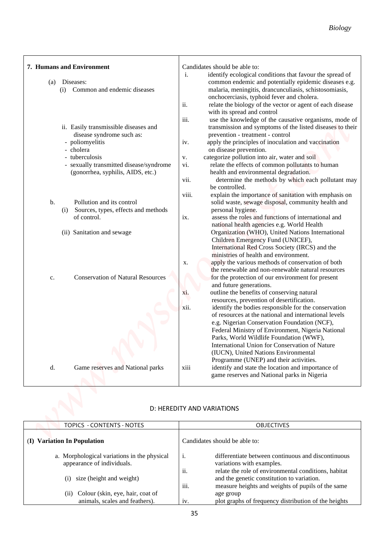| Candidates should be able to:<br>identify ecological conditions that favour the spread of<br>i.<br>Diseases:<br>(a)<br>Common and endemic diseases<br>malaria, meningitis, drancunculiasis, schistosomiasis,<br>(i)<br>onchocerciasis, typhoid fever and cholera.<br>ii.<br>with its spread and control<br>iii.<br>ii. Easily transmissible diseases and<br>prevention - treatment - control<br>disease syndrome such as:<br>- poliomyelitis<br>apply the principles of inoculation and vaccination<br>iv.<br>- cholera<br>on disease prevention.<br>categorize pollution into air, water and soil<br>- tuberculosis<br>v.<br>- sexually transmitted disease/syndrome<br>relate the effects of common pollutants to human<br>vi.<br>health and environmental degradation.<br>(gonorrhea, syphilis, AIDS, etc.)<br>vii.<br>be controlled.<br>explain the importance of sanitation with emphasis on<br>V111.<br>Pollution and its control<br>b.<br>solid waste, sewage disposal, community health and<br>Sources, types, effects and methods<br>personal hygiene.<br>(i)<br>assess the roles and functions of international and<br>of control.<br>$\overline{1}X$ .<br>national health agencies e.g. World Health<br>Organization (WHO), United Nations International<br>(ii) Sanitation and sewage<br>Children Emergency Fund (UNICEF),<br>International Red Cross Society (IRCS) and the<br>ministries of health and environment.<br>apply the various methods of conservation of both<br>X.<br>the renewable and non-renewable natural resources<br><b>Conservation of Natural Resources</b><br>for the protection of our environment for present<br>c.<br>and future generations.<br>xi.<br>outline the benefits of conserving natural<br>resources, prevention of desertification.<br>xii.<br>identify the bodies responsible for the conservation<br>of resources at the national and international levels<br>e.g. Nigerian Conservation Foundation (NCF),<br>Federal Ministry of Environment, Nigeria National<br>Parks, World Wildlife Foundation (WWF),<br>International Union for Conservation of Nature<br>(IUCN), United Nations Environmental<br>Programme (UNEP) and their activities.<br>d.<br>Game reserves and National parks<br>identify and state the location and importance of<br>xiii<br>game reserves and National parks in Nigeria |                           | <b>Biology</b>                                                                                                                                                                                                                           |
|----------------------------------------------------------------------------------------------------------------------------------------------------------------------------------------------------------------------------------------------------------------------------------------------------------------------------------------------------------------------------------------------------------------------------------------------------------------------------------------------------------------------------------------------------------------------------------------------------------------------------------------------------------------------------------------------------------------------------------------------------------------------------------------------------------------------------------------------------------------------------------------------------------------------------------------------------------------------------------------------------------------------------------------------------------------------------------------------------------------------------------------------------------------------------------------------------------------------------------------------------------------------------------------------------------------------------------------------------------------------------------------------------------------------------------------------------------------------------------------------------------------------------------------------------------------------------------------------------------------------------------------------------------------------------------------------------------------------------------------------------------------------------------------------------------------------------------------------------------------------------------------------------------------------------------------------------------------------------------------------------------------------------------------------------------------------------------------------------------------------------------------------------------------------------------------------------------------------------------------------------------------------------------------------------------------------------------------------------------|---------------------------|------------------------------------------------------------------------------------------------------------------------------------------------------------------------------------------------------------------------------------------|
|                                                                                                                                                                                                                                                                                                                                                                                                                                                                                                                                                                                                                                                                                                                                                                                                                                                                                                                                                                                                                                                                                                                                                                                                                                                                                                                                                                                                                                                                                                                                                                                                                                                                                                                                                                                                                                                                                                                                                                                                                                                                                                                                                                                                                                                                                                                                                          | 7. Humans and Environment | common endemic and potentially epidemic diseases e.g.<br>relate the biology of the vector or agent of each disease<br>use the knowledge of the causative organisms, mode of<br>transmission and symptoms of the listed diseases to their |
|                                                                                                                                                                                                                                                                                                                                                                                                                                                                                                                                                                                                                                                                                                                                                                                                                                                                                                                                                                                                                                                                                                                                                                                                                                                                                                                                                                                                                                                                                                                                                                                                                                                                                                                                                                                                                                                                                                                                                                                                                                                                                                                                                                                                                                                                                                                                                          |                           | determine the methods by which each pollutant may                                                                                                                                                                                        |
|                                                                                                                                                                                                                                                                                                                                                                                                                                                                                                                                                                                                                                                                                                                                                                                                                                                                                                                                                                                                                                                                                                                                                                                                                                                                                                                                                                                                                                                                                                                                                                                                                                                                                                                                                                                                                                                                                                                                                                                                                                                                                                                                                                                                                                                                                                                                                          |                           |                                                                                                                                                                                                                                          |
| D: HEREDITY AND VARIATIONS                                                                                                                                                                                                                                                                                                                                                                                                                                                                                                                                                                                                                                                                                                                                                                                                                                                                                                                                                                                                                                                                                                                                                                                                                                                                                                                                                                                                                                                                                                                                                                                                                                                                                                                                                                                                                                                                                                                                                                                                                                                                                                                                                                                                                                                                                                                               |                           |                                                                                                                                                                                                                                          |

### D: HEREDITY AND VARIATIONS

| TOPICS - CONTENTS - NOTES                                                 | <b>OBJECTIVES</b>                                                                                                                                    |
|---------------------------------------------------------------------------|------------------------------------------------------------------------------------------------------------------------------------------------------|
| <b>Variation In Population</b><br>$\mathbf{I}$                            | Candidates should be able to:                                                                                                                        |
| a. Morphological variations in the physical<br>appearance of individuals. | differentiate between continuous and discontinuous<br>1.<br>variations with examples.<br>relate the role of environmental conditions, habitat<br>11. |
| size (height and weight)<br>$\left( i\right)$                             | and the genetic constitution to variation.<br>$\cdots$<br>measure heights and weights of pupils of the same<br>111.                                  |
| Colour (skin, eye, hair, coat of<br>(i)<br>animals, scales and feathers). | age group<br>plot graphs of frequency distribution of the heights<br>1V.                                                                             |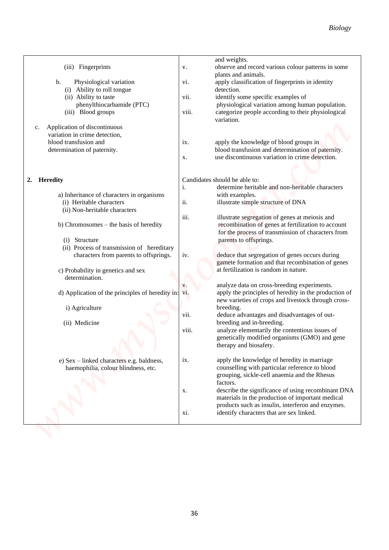|                                                      | <b>Biology</b>                                                                                               |  |
|------------------------------------------------------|--------------------------------------------------------------------------------------------------------------|--|
|                                                      |                                                                                                              |  |
|                                                      |                                                                                                              |  |
|                                                      | and weights.                                                                                                 |  |
| (iii) Fingerprints                                   | observe and record various colour patterns in some<br>v.<br>plants and animals.                              |  |
| Physiological variation<br>$\mathbf b$ .             | apply classification of fingerprints in identity<br>V1.                                                      |  |
| (i) Ability to roll tongue                           | detection.                                                                                                   |  |
| (ii) Ability to taste                                | identify some specific examples of<br>V11.<br>physiological variation among human population.                |  |
| phenylthiocarbamide (PTC)<br>(iii) Blood groups      | categorize people according to their physiological<br>viii.                                                  |  |
|                                                      | variation.                                                                                                   |  |
| Application of discontinuous<br>c.                   |                                                                                                              |  |
| variation in crime detection,                        |                                                                                                              |  |
| blood transfusion and                                | apply the knowledge of blood groups in<br>1X.                                                                |  |
| determination of paternity.                          | blood transfusion and determination of paternity.                                                            |  |
|                                                      | use discontinuous variation in crime detection.<br>X.                                                        |  |
|                                                      |                                                                                                              |  |
| 2.<br><b>Heredity</b>                                | Candidates should be able to:                                                                                |  |
|                                                      | determine heritable and non-heritable characters<br>i.                                                       |  |
| a) Inheritance of characters in organisms            | with examples.                                                                                               |  |
| (i) Heritable characters                             | ii.<br>illustrate simple structure of DNA                                                                    |  |
| (ii) Non-heritable characters                        | iii.                                                                                                         |  |
| b) Chromosomes – the basis of heredity               | illustrate segregation of genes at meiosis and<br>recombination of genes at fertilization to account         |  |
|                                                      | for the process of transmission of characters from                                                           |  |
| (i) Structure                                        | parents to offsprings.                                                                                       |  |
| (ii) Process of transmission of hereditary           |                                                                                                              |  |
| characters from parents to offsprings.               | deduce that segregation of genes occurs during<br>iv.                                                        |  |
|                                                      | gamete formation and that recombination of genes                                                             |  |
| c) Probability in genetics and sex                   | at fertilization is random in nature.                                                                        |  |
| determination.                                       |                                                                                                              |  |
|                                                      | analyze data on cross-breeding experiments.<br>V.                                                            |  |
| d) Application of the principles of heredity in: vi. | apply the principles of heredity in the production of<br>new varieties of crops and livestock through cross- |  |
| i) Agriculture                                       | breeding.                                                                                                    |  |
|                                                      | deduce advantages and disadvantages of out-<br>vii.                                                          |  |
| (ii) Medicine                                        | breeding and in-breeding.                                                                                    |  |
|                                                      | analyze elementarily the contentious issues of<br>viii.                                                      |  |
|                                                      | genetically modified organisms (GMO) and gene                                                                |  |
|                                                      | therapy and biosafety.                                                                                       |  |
| e) Sex – linked characters e.g. baldness,            | apply the knowledge of heredity in marriage<br>ix.                                                           |  |
| haemophilia, colour blindness, etc.                  | counselling with particular reference to blood                                                               |  |
|                                                      | grouping, sickle-cell anaemia and the Rhesus                                                                 |  |
|                                                      | factors.                                                                                                     |  |
|                                                      | describe the significance of using recombinant DNA<br>X.                                                     |  |
|                                                      | materials in the production of important medical                                                             |  |
|                                                      | products such as insulin, interferon and enzymes.                                                            |  |
|                                                      | identify characters that are sex linked.<br>XI.                                                              |  |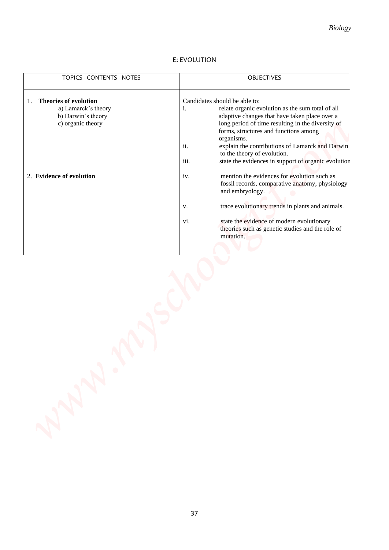# *Biology*

# E: EVOLUTION